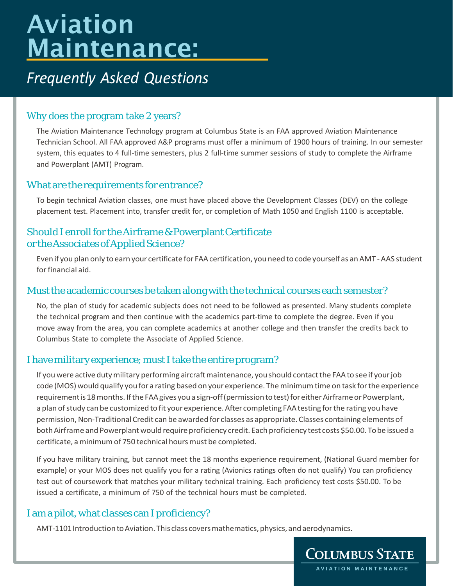# Aviation Maintenance:

# *Frequently Asked Questions*

# Why does the program take 2 years?

The Aviation Maintenance Technology program at Columbus State is an FAA approved Aviation Maintenance Technician School. All FAA approved A&P programs must offer a minimum of 1900 hours of training. In our semester system, this equates to 4 full-time semesters, plus 2 full-time summer sessions of study to complete the Airframe and Powerplant (AMT) Program.

# What are the requirements for entrance?

To begin technical Aviation classes, one must have placed above the Development Classes (DEV) on the college placement test. Placement into, transfer credit for, or completion of Math 1050 and English 1100 is acceptable.

# Should I enroll for the Airframe & Powerplant Certificate or the Associates of Applied Science?

Even if you plan only to earn your certificate for FAAcertification, you need tocode yourself as anAMT -AAS student for financial aid.

# Must the academic courses be taken along with the technical courses each semester?

No, the plan of study for academic subjects does not need to be followed as presented. Many students complete the technical program and then continue with the academics part-time to complete the degree. Even if you move away from the area, you can complete academics at another college and then transfer the credits back to Columbus State to complete the Associate of Applied Science.

# I have military experience; must I take the entire program?

If you were active duty military performing aircraft maintenance, you should contact the FAA to see if your job code (MOS) would qualify you for a rating based on your experience. Theminimumtime on task forthe experience requirement is 18 months. If the FAA gives you a sign-off (permission to test) for either Airframe or Powerplant, a plan of study can be customized to fit your experience. After completing FAA testing for the rating you have permission, Non-Traditional Credit can be awarded for classes as appropriate. Classes containing elements of both Airframe and Powerplant would require proficiency credit. Each proficiency test costs \$50.00. To be issued a certificate, a minimum of 750 technical hours must be completed.

If you have military training, but cannot meet the 18 months experience requirement, (National Guard member for example) or your MOS does not qualify you for a rating (Avionics ratings often do not qualify) You can proficiency test out of coursework that matches your military technical training. Each proficiency test costs \$50.00. To be issued a certificate, a minimum of 750 of the technical hours must be completed.

# I am a pilot,what classes can I proficiency?

AMT-1101 Introduction to Aviation. This class covers mathematics, physics, and aerodynamics.